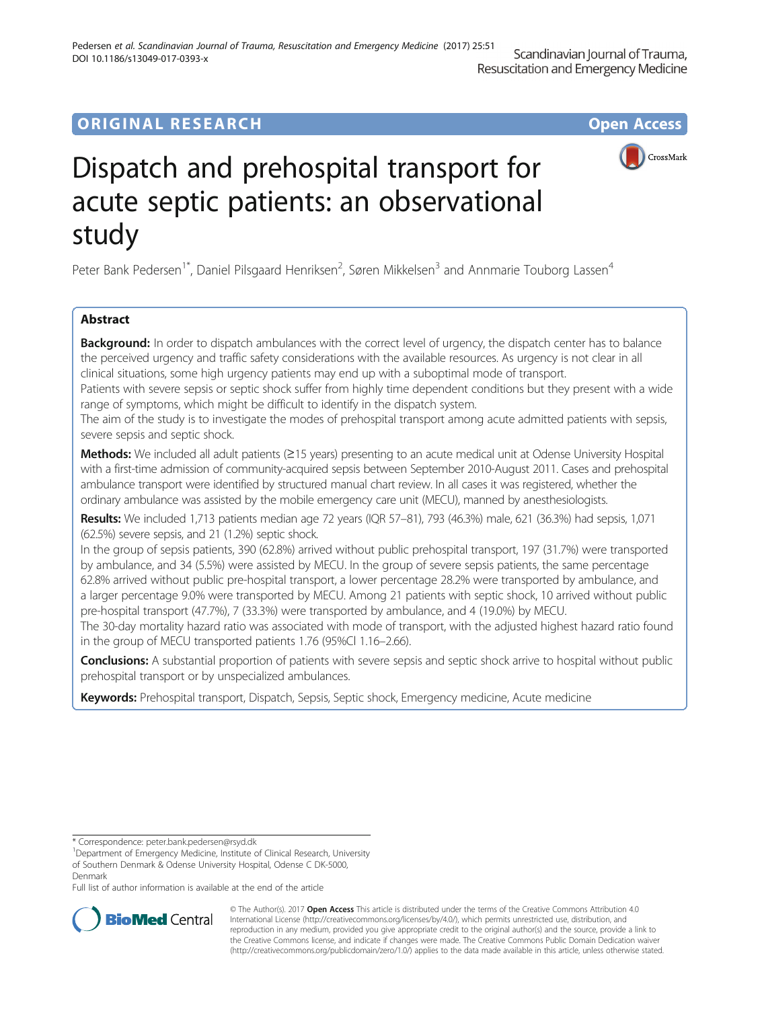## **ORIGINAL RESEARCH CONFIDENTIAL CONFIDENTIAL CONFIDENTIAL CONFIDENTIAL CONFIDENTIAL CONFIDENTIAL CONFIDENTIAL CONFIDENTIAL CONFIDENTIAL CONFIDENTIAL CONFIDENTIAL CONFIDENTIAL CONFIDENTIAL CONFIDENTIAL CONFIDENTIAL CONFIDEN**



# Dispatch and prehospital transport for acute septic patients: an observational study

Peter Bank Pedersen<sup>1\*</sup>, Daniel Pilsgaard Henriksen<sup>2</sup>, Søren Mikkelsen<sup>3</sup> and Annmarie Touborg Lassen<sup>4</sup>

## Abstract

Background: In order to dispatch ambulances with the correct level of urgency, the dispatch center has to balance the perceived urgency and traffic safety considerations with the available resources. As urgency is not clear in all clinical situations, some high urgency patients may end up with a suboptimal mode of transport.

Patients with severe sepsis or septic shock suffer from highly time dependent conditions but they present with a wide range of symptoms, which might be difficult to identify in the dispatch system.

The aim of the study is to investigate the modes of prehospital transport among acute admitted patients with sepsis, severe sepsis and septic shock.

Methods: We included all adult patients (≥15 years) presenting to an acute medical unit at Odense University Hospital with a first-time admission of community-acquired sepsis between September 2010-August 2011. Cases and prehospital ambulance transport were identified by structured manual chart review. In all cases it was registered, whether the ordinary ambulance was assisted by the mobile emergency care unit (MECU), manned by anesthesiologists.

Results: We included 1,713 patients median age 72 years (IQR 57-81), 793 (46.3%) male, 621 (36.3%) had sepsis, 1,071 (62.5%) severe sepsis, and 21 (1.2%) septic shock.

In the group of sepsis patients, 390 (62.8%) arrived without public prehospital transport, 197 (31.7%) were transported by ambulance, and 34 (5.5%) were assisted by MECU. In the group of severe sepsis patients, the same percentage 62.8% arrived without public pre-hospital transport, a lower percentage 28.2% were transported by ambulance, and a larger percentage 9.0% were transported by MECU. Among 21 patients with septic shock, 10 arrived without public pre-hospital transport (47.7%), 7 (33.3%) were transported by ambulance, and 4 (19.0%) by MECU.

The 30-day mortality hazard ratio was associated with mode of transport, with the adjusted highest hazard ratio found in the group of MECU transported patients 1.76 (95%Cl 1.16–2.66).

Conclusions: A substantial proportion of patients with severe sepsis and septic shock arrive to hospital without public prehospital transport or by unspecialized ambulances.

Keywords: Prehospital transport, Dispatch, Sepsis, Septic shock, Emergency medicine, Acute medicine

\* Correspondence: [peter.bank.pedersen@rsyd.dk](mailto:peter.bank.pedersen@rsyd.dk) <sup>1</sup>

Full list of author information is available at the end of the article



© The Author(s). 2017 **Open Access** This article is distributed under the terms of the Creative Commons Attribution 4.0 International License [\(http://creativecommons.org/licenses/by/4.0/](http://creativecommons.org/licenses/by/4.0/)), which permits unrestricted use, distribution, and reproduction in any medium, provided you give appropriate credit to the original author(s) and the source, provide a link to the Creative Commons license, and indicate if changes were made. The Creative Commons Public Domain Dedication waiver [\(http://creativecommons.org/publicdomain/zero/1.0/](http://creativecommons.org/publicdomain/zero/1.0/)) applies to the data made available in this article, unless otherwise stated.

<sup>&</sup>lt;sup>1</sup>Department of Emergency Medicine, Institute of Clinical Research, University of Southern Denmark & Odense University Hospital, Odense C DK-5000, Denmark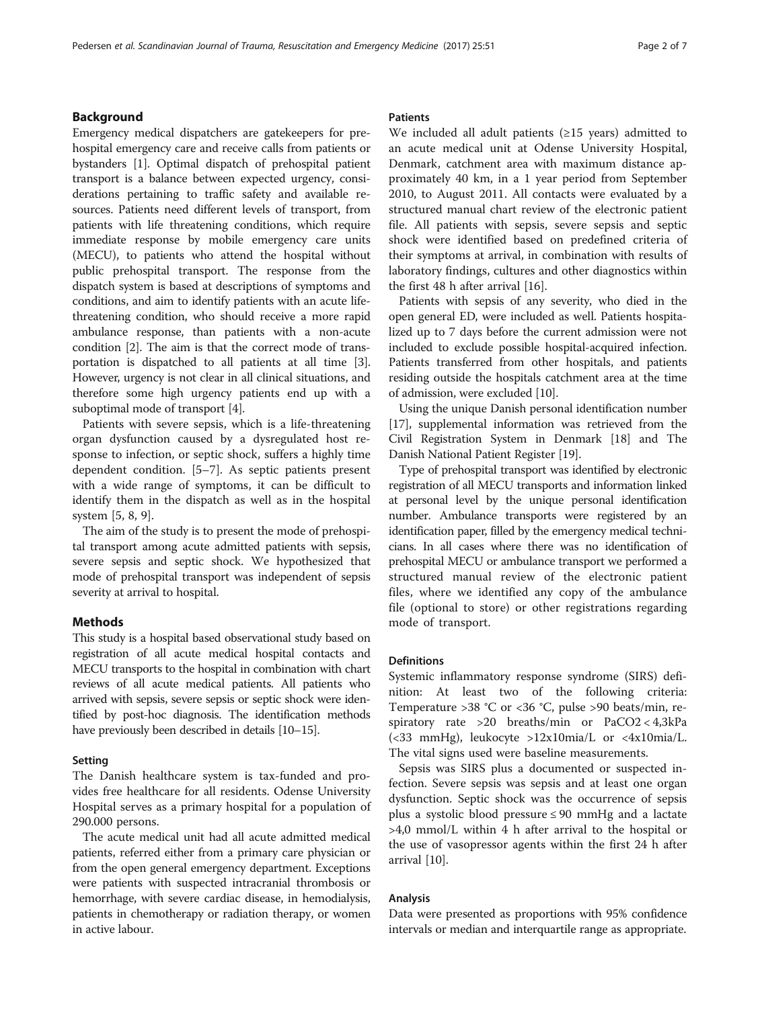## Background

Emergency medical dispatchers are gatekeepers for prehospital emergency care and receive calls from patients or bystanders [[1](#page-5-0)]. Optimal dispatch of prehospital patient transport is a balance between expected urgency, considerations pertaining to traffic safety and available resources. Patients need different levels of transport, from patients with life threatening conditions, which require immediate response by mobile emergency care units (MECU), to patients who attend the hospital without public prehospital transport. The response from the dispatch system is based at descriptions of symptoms and conditions, and aim to identify patients with an acute lifethreatening condition, who should receive a more rapid ambulance response, than patients with a non-acute condition [\[2](#page-6-0)]. The aim is that the correct mode of transportation is dispatched to all patients at all time [[3](#page-6-0)]. However, urgency is not clear in all clinical situations, and therefore some high urgency patients end up with a suboptimal mode of transport [\[4\]](#page-6-0).

Patients with severe sepsis, which is a life-threatening organ dysfunction caused by a dysregulated host response to infection, or septic shock, suffers a highly time dependent condition. [\[5](#page-6-0)–[7](#page-6-0)]. As septic patients present with a wide range of symptoms, it can be difficult to identify them in the dispatch as well as in the hospital system [[5](#page-6-0), [8](#page-6-0), [9](#page-6-0)].

The aim of the study is to present the mode of prehospital transport among acute admitted patients with sepsis, severe sepsis and septic shock. We hypothesized that mode of prehospital transport was independent of sepsis severity at arrival to hospital.

## **Methods**

This study is a hospital based observational study based on registration of all acute medical hospital contacts and MECU transports to the hospital in combination with chart reviews of all acute medical patients. All patients who arrived with sepsis, severe sepsis or septic shock were identified by post-hoc diagnosis. The identification methods have previously been described in details [\[10](#page-6-0)–[15\]](#page-6-0).

## Setting

The Danish healthcare system is tax-funded and provides free healthcare for all residents. Odense University Hospital serves as a primary hospital for a population of 290.000 persons.

The acute medical unit had all acute admitted medical patients, referred either from a primary care physician or from the open general emergency department. Exceptions were patients with suspected intracranial thrombosis or hemorrhage, with severe cardiac disease, in hemodialysis, patients in chemotherapy or radiation therapy, or women in active labour.

## Patients

We included all adult patients  $(\geq 15$  years) admitted to an acute medical unit at Odense University Hospital, Denmark, catchment area with maximum distance approximately 40 km, in a 1 year period from September 2010, to August 2011. All contacts were evaluated by a structured manual chart review of the electronic patient file. All patients with sepsis, severe sepsis and septic shock were identified based on predefined criteria of their symptoms at arrival, in combination with results of laboratory findings, cultures and other diagnostics within the first 48 h after arrival [[16\]](#page-6-0).

Patients with sepsis of any severity, who died in the open general ED, were included as well. Patients hospitalized up to 7 days before the current admission were not included to exclude possible hospital-acquired infection. Patients transferred from other hospitals, and patients residing outside the hospitals catchment area at the time of admission, were excluded [[10\]](#page-6-0).

Using the unique Danish personal identification number [[17](#page-6-0)], supplemental information was retrieved from the Civil Registration System in Denmark [[18](#page-6-0)] and The Danish National Patient Register [[19](#page-6-0)].

Type of prehospital transport was identified by electronic registration of all MECU transports and information linked at personal level by the unique personal identification number. Ambulance transports were registered by an identification paper, filled by the emergency medical technicians. In all cases where there was no identification of prehospital MECU or ambulance transport we performed a structured manual review of the electronic patient files, where we identified any copy of the ambulance file (optional to store) or other registrations regarding mode of transport.

## Definitions

Systemic inflammatory response syndrome (SIRS) definition: At least two of the following criteria: Temperature >38 °C or <36 °C, pulse >90 beats/min, respiratory rate >20 breaths/min or PaCO2 < 4,3kPa (<33 mmHg), leukocyte >12x10mia/L or <4x10mia/L. The vital signs used were baseline measurements.

Sepsis was SIRS plus a documented or suspected infection. Severe sepsis was sepsis and at least one organ dysfunction. Septic shock was the occurrence of sepsis plus a systolic blood pressure ≤ 90 mmHg and a lactate >4,0 mmol/L within 4 h after arrival to the hospital or the use of vasopressor agents within the first 24 h after arrival [[10](#page-6-0)].

## Analysis

Data were presented as proportions with 95% confidence intervals or median and interquartile range as appropriate.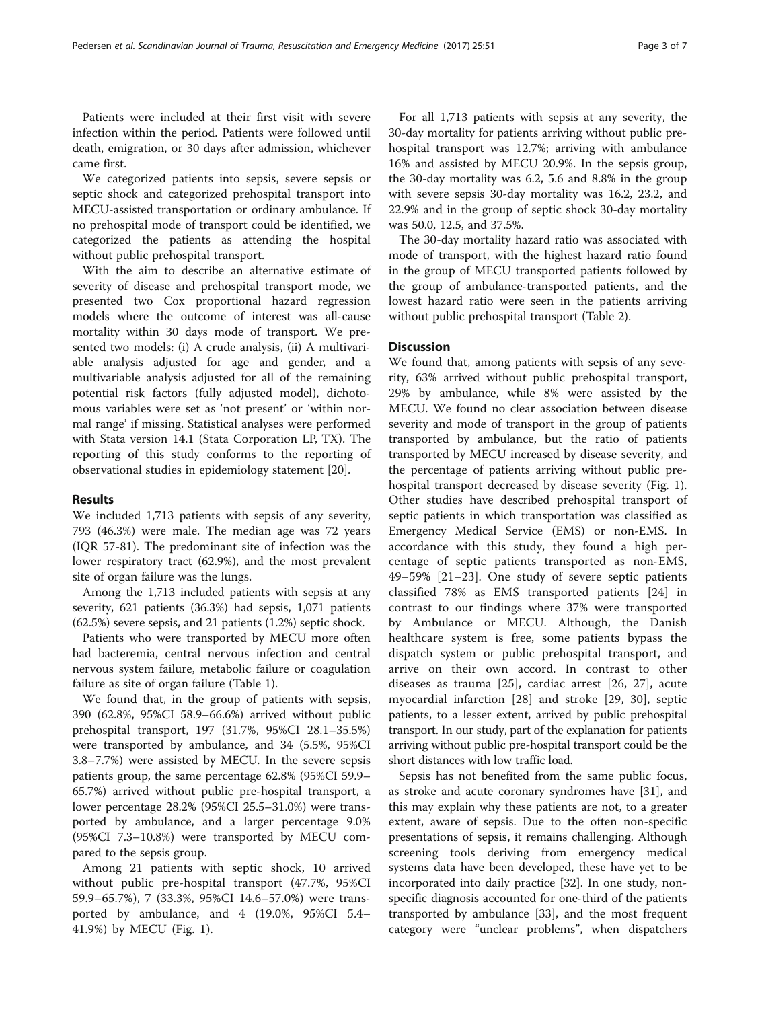Patients were included at their first visit with severe infection within the period. Patients were followed until death, emigration, or 30 days after admission, whichever came first.

We categorized patients into sepsis, severe sepsis or septic shock and categorized prehospital transport into MECU-assisted transportation or ordinary ambulance. If no prehospital mode of transport could be identified, we categorized the patients as attending the hospital without public prehospital transport.

With the aim to describe an alternative estimate of severity of disease and prehospital transport mode, we presented two Cox proportional hazard regression models where the outcome of interest was all-cause mortality within 30 days mode of transport. We presented two models: (i) A crude analysis, (ii) A multivariable analysis adjusted for age and gender, and a multivariable analysis adjusted for all of the remaining potential risk factors (fully adjusted model), dichotomous variables were set as 'not present' or 'within normal range' if missing. Statistical analyses were performed with Stata version 14.1 (Stata Corporation LP, TX). The reporting of this study conforms to the reporting of observational studies in epidemiology statement [[20\]](#page-6-0).

## Results

We included 1,713 patients with sepsis of any severity, 793 (46.3%) were male. The median age was 72 years (IQR 57-81). The predominant site of infection was the lower respiratory tract (62.9%), and the most prevalent site of organ failure was the lungs.

Among the 1,713 included patients with sepsis at any severity, 621 patients (36.3%) had sepsis, 1,071 patients (62.5%) severe sepsis, and 21 patients (1.2%) septic shock.

Patients who were transported by MECU more often had bacteremia, central nervous infection and central nervous system failure, metabolic failure or coagulation failure as site of organ failure (Table [1\)](#page-3-0).

We found that, in the group of patients with sepsis, 390 (62.8%, 95%CI 58.9–66.6%) arrived without public prehospital transport, 197 (31.7%, 95%CI 28.1–35.5%) were transported by ambulance, and 34 (5.5%, 95%CI 3.8–7.7%) were assisted by MECU. In the severe sepsis patients group, the same percentage 62.8% (95%CI 59.9– 65.7%) arrived without public pre-hospital transport, a lower percentage 28.2% (95%CI 25.5–31.0%) were transported by ambulance, and a larger percentage 9.0% (95%CI 7.3–10.8%) were transported by MECU compared to the sepsis group.

Among 21 patients with septic shock, 10 arrived without public pre-hospital transport (47.7%, 95%CI 59.9–65.7%), 7 (33.3%, 95%CI 14.6–57.0%) were transported by ambulance, and 4 (19.0%, 95%CI 5.4– 41.9%) by MECU (Fig. [1\)](#page-4-0).

For all 1,713 patients with sepsis at any severity, the 30-day mortality for patients arriving without public prehospital transport was 12.7%; arriving with ambulance 16% and assisted by MECU 20.9%. In the sepsis group, the 30-day mortality was 6.2, 5.6 and 8.8% in the group with severe sepsis 30-day mortality was 16.2, 23.2, and 22.9% and in the group of septic shock 30-day mortality was 50.0, 12.5, and 37.5%.

The 30-day mortality hazard ratio was associated with mode of transport, with the highest hazard ratio found in the group of MECU transported patients followed by the group of ambulance-transported patients, and the lowest hazard ratio were seen in the patients arriving without public prehospital transport (Table [2](#page-4-0)).

## **Discussion**

We found that, among patients with sepsis of any severity, 63% arrived without public prehospital transport, 29% by ambulance, while 8% were assisted by the MECU. We found no clear association between disease severity and mode of transport in the group of patients transported by ambulance, but the ratio of patients transported by MECU increased by disease severity, and the percentage of patients arriving without public prehospital transport decreased by disease severity (Fig. [1](#page-4-0)). Other studies have described prehospital transport of septic patients in which transportation was classified as Emergency Medical Service (EMS) or non-EMS. In accordance with this study, they found a high percentage of septic patients transported as non-EMS, 49–59% [[21](#page-6-0)–[23\]](#page-6-0). One study of severe septic patients classified 78% as EMS transported patients [[24\]](#page-6-0) in contrast to our findings where 37% were transported by Ambulance or MECU. Although, the Danish healthcare system is free, some patients bypass the dispatch system or public prehospital transport, and arrive on their own accord. In contrast to other diseases as trauma [\[25](#page-6-0)], cardiac arrest [\[26](#page-6-0), [27](#page-6-0)], acute myocardial infarction [\[28](#page-6-0)] and stroke [[29, 30](#page-6-0)], septic patients, to a lesser extent, arrived by public prehospital transport. In our study, part of the explanation for patients arriving without public pre-hospital transport could be the short distances with low traffic load.

Sepsis has not benefited from the same public focus, as stroke and acute coronary syndromes have [\[31](#page-6-0)], and this may explain why these patients are not, to a greater extent, aware of sepsis. Due to the often non-specific presentations of sepsis, it remains challenging. Although screening tools deriving from emergency medical systems data have been developed, these have yet to be incorporated into daily practice [\[32\]](#page-6-0). In one study, nonspecific diagnosis accounted for one-third of the patients transported by ambulance [[33](#page-6-0)], and the most frequent category were "unclear problems", when dispatchers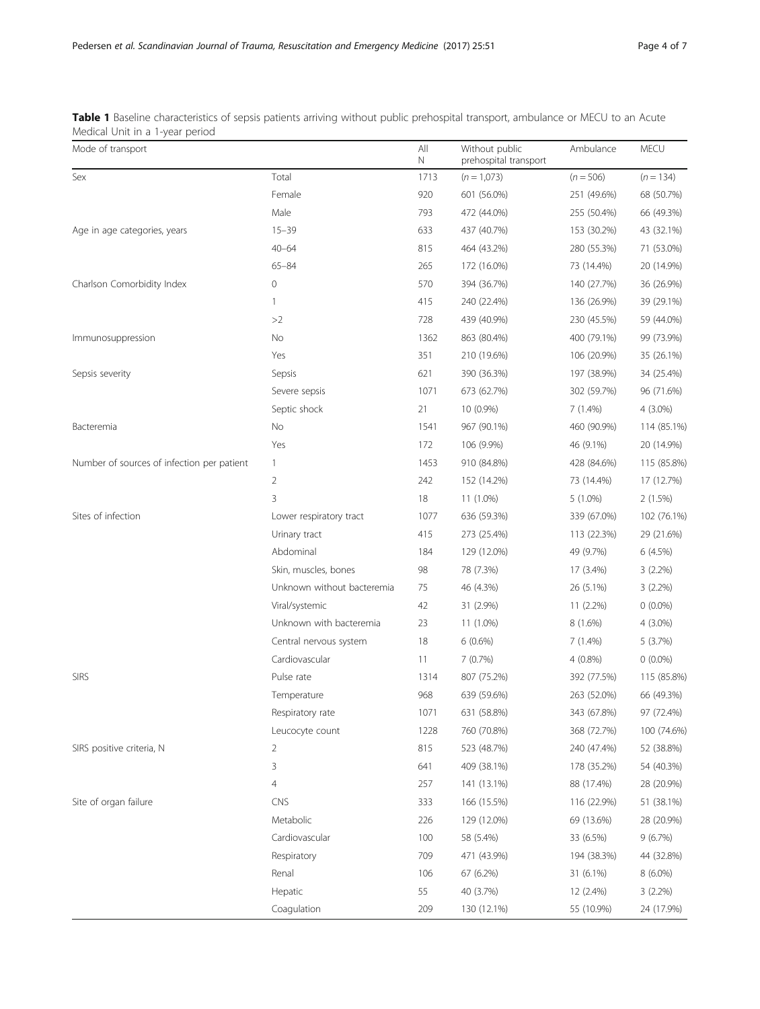<span id="page-3-0"></span>Table 1 Baseline characteristics of sepsis patients arriving without public prehospital transport, ambulance or MECU to an Acute Medical Unit in a 1-year period

| Mode of transport                          |                            | All<br>$\mathbb N$ | Without public<br>prehospital transport | Ambulance   | MECU        |
|--------------------------------------------|----------------------------|--------------------|-----------------------------------------|-------------|-------------|
| Sex                                        | Total                      | 1713               | $(n = 1,073)$                           | $(n = 506)$ | $(n = 134)$ |
|                                            | Female                     | 920                | 601 (56.0%)                             | 251 (49.6%) | 68 (50.7%)  |
|                                            | Male                       | 793                | 472 (44.0%)                             | 255 (50.4%) | 66 (49.3%)  |
| Age in age categories, years               | $15 - 39$                  | 633                | 437 (40.7%)                             | 153 (30.2%) | 43 (32.1%)  |
|                                            | $40 - 64$                  | 815                | 464 (43.2%)                             | 280 (55.3%) | 71 (53.0%)  |
|                                            | $65 - 84$                  | 265                | 172 (16.0%)                             | 73 (14.4%)  | 20 (14.9%)  |
| Charlson Comorbidity Index                 | 0                          | 570                | 394 (36.7%)                             | 140 (27.7%) | 36 (26.9%)  |
|                                            | 1                          | 415                | 240 (22.4%)                             | 136 (26.9%) | 39 (29.1%)  |
|                                            | >2                         | 728                | 439 (40.9%)                             | 230 (45.5%) | 59 (44.0%)  |
| Immunosuppression                          | No                         | 1362               | 863 (80.4%)                             | 400 (79.1%) | 99 (73.9%)  |
|                                            | Yes                        | 351                | 210 (19.6%)                             | 106 (20.9%) | 35 (26.1%)  |
| Sepsis severity                            | Sepsis                     | 621                | 390 (36.3%)                             | 197 (38.9%) | 34 (25.4%)  |
|                                            | Severe sepsis              | 1071               | 673 (62.7%)                             | 302 (59.7%) | 96 (71.6%)  |
|                                            | Septic shock               | 21                 | 10 (0.9%)                               | $7(1.4\%)$  | $4(3.0\%)$  |
| Bacteremia                                 | No                         | 1541               | 967 (90.1%)                             | 460 (90.9%) | 114 (85.1%) |
|                                            | Yes                        | 172                | 106 (9.9%)                              | 46 (9.1%)   | 20 (14.9%)  |
| Number of sources of infection per patient | 1                          | 1453               | 910 (84.8%)                             | 428 (84.6%) | 115 (85.8%) |
|                                            | $\overline{2}$             | 242                | 152 (14.2%)                             | 73 (14.4%)  | 17 (12.7%)  |
|                                            | 3                          | 18                 | 11 (1.0%)                               | $5(1.0\%)$  | 2(1.5%)     |
| Sites of infection                         | Lower respiratory tract    | 1077               | 636 (59.3%)                             | 339 (67.0%) | 102 (76.1%) |
|                                            | Urinary tract              | 415                | 273 (25.4%)                             | 113 (22.3%) | 29 (21.6%)  |
|                                            | Abdominal                  | 184                | 129 (12.0%)                             | 49 (9.7%)   | 6 (4.5%)    |
|                                            | Skin, muscles, bones       | 98                 | 78 (7.3%)                               | 17 (3.4%)   | 3(2.2%)     |
|                                            | Unknown without bacteremia | 75                 | 46 (4.3%)                               | 26 (5.1%)   | 3(2.2%)     |
|                                            | Viral/systemic             | 42                 | 31 (2.9%)                               | 11 (2.2%)   | $0(0.0\%)$  |
|                                            | Unknown with bacteremia    | 23                 | 11 (1.0%)                               | $8(1.6\%)$  | $4(3.0\%)$  |
|                                            | Central nervous system     | 18                 | $6(0.6\%)$                              | $7(1.4\%)$  | 5(3.7%)     |
|                                            | Cardiovascular             | 11                 | 7(0.7%)                                 | $4(0.8\%)$  | $0(0.0\%)$  |
| <b>SIRS</b>                                | Pulse rate                 | 1314               | 807 (75.2%)                             | 392 (77.5%) | 115 (85.8%) |
|                                            | Temperature                | 968                | 639 (59.6%)                             | 263 (52.0%) | 66 (49.3%)  |
|                                            | Respiratory rate           | 1071               | 631 (58.8%)                             | 343 (67.8%) | 97 (72.4%)  |
|                                            | Leucocyte count            | 1228               | 760 (70.8%)                             | 368 (72.7%) | 100 (74.6%) |
| SIRS positive criteria, N                  | 2                          | 815                | 523 (48.7%)                             | 240 (47.4%) | 52 (38.8%)  |
|                                            | 3                          | 641                | 409 (38.1%)                             | 178 (35.2%) | 54 (40.3%)  |
|                                            | 4                          | 257                | 141 (13.1%)                             | 88 (17.4%)  | 28 (20.9%)  |
| Site of organ failure                      | CNS                        | 333                | 166 (15.5%)                             | 116 (22.9%) | 51 (38.1%)  |
|                                            | Metabolic                  | 226                | 129 (12.0%)                             | 69 (13.6%)  | 28 (20.9%)  |
|                                            | Cardiovascular             | 100                | 58 (5.4%)                               | 33 (6.5%)   | 9(6.7%)     |
|                                            | Respiratory                | 709                | 471 (43.9%)                             | 194 (38.3%) | 44 (32.8%)  |
|                                            | Renal                      | 106                | 67 (6.2%)                               | 31 (6.1%)   | 8 (6.0%)    |
|                                            | Hepatic                    | 55                 | 40 (3.7%)                               | 12 (2.4%)   | 3(2.2%)     |
|                                            | Coagulation                | 209                | 130 (12.1%)                             | 55 (10.9%)  | 24 (17.9%)  |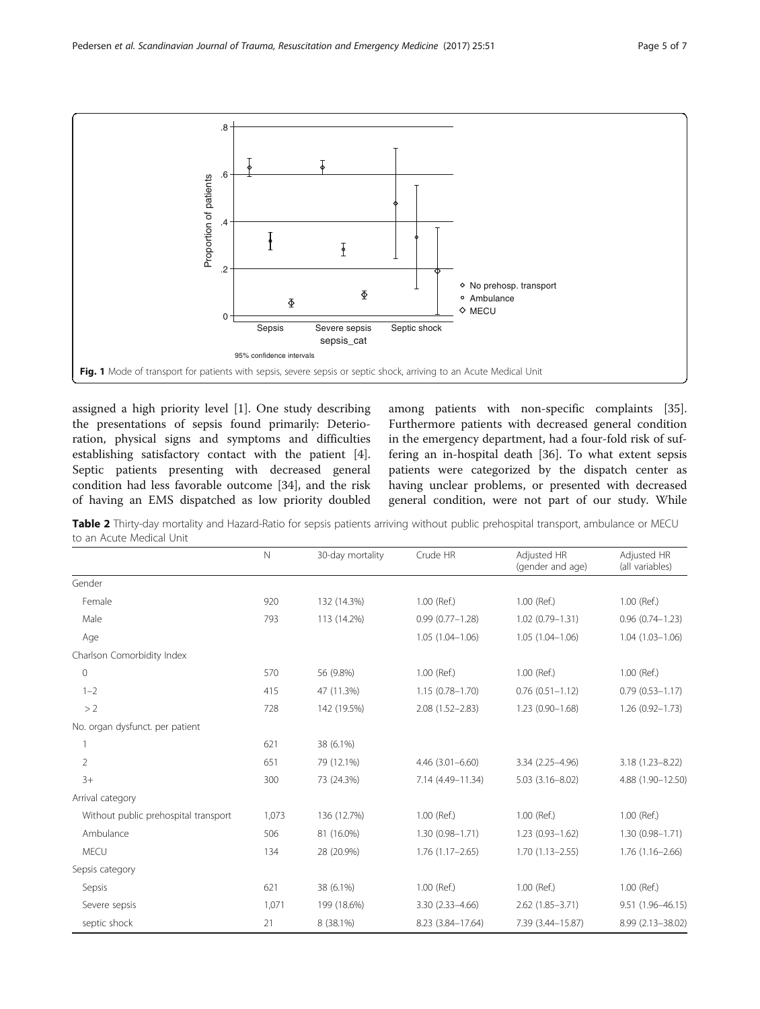<span id="page-4-0"></span>

assigned a high priority level [\[1](#page-5-0)]. One study describing the presentations of sepsis found primarily: Deterioration, physical signs and symptoms and difficulties establishing satisfactory contact with the patient [\[4](#page-6-0)]. Septic patients presenting with decreased general condition had less favorable outcome [[34\]](#page-6-0), and the risk of having an EMS dispatched as low priority doubled

among patients with non-specific complaints [\[35](#page-6-0)]. Furthermore patients with decreased general condition in the emergency department, had a four-fold risk of suffering an in-hospital death [\[36](#page-6-0)]. To what extent sepsis patients were categorized by the dispatch center as having unclear problems, or presented with decreased general condition, were not part of our study. While

Table 2 Thirty-day mortality and Hazard-Ratio for sepsis patients arriving without public prehospital transport, ambulance or MECU to an Acute Medical Unit

|                                      | $\mathbb N$ | 30-day mortality | Crude HR            | Adjusted HR<br>(gender and age) | Adjusted HR<br>(all variables) |
|--------------------------------------|-------------|------------------|---------------------|---------------------------------|--------------------------------|
| Gender                               |             |                  |                     |                                 |                                |
| Female                               | 920         | 132 (14.3%)      | 1.00 (Ref.)         | 1.00 (Ref.)                     | 1.00 (Ref.)                    |
| Male                                 | 793         | 113 (14.2%)      | $0.99(0.77 - 1.28)$ | 1.02 (0.79-1.31)                | $0.96(0.74 - 1.23)$            |
| Age                                  |             |                  | $1.05(1.04 - 1.06)$ | $1.05(1.04 - 1.06)$             | $1.04(1.03 - 1.06)$            |
| Charlson Comorbidity Index           |             |                  |                     |                                 |                                |
| $\circ$                              | 570         | 56 (9.8%)        | 1.00 (Ref.)         | 1.00 (Ref.)                     | 1.00 (Ref.)                    |
| $1 - 2$                              | 415         | 47 (11.3%)       | $1.15(0.78 - 1.70)$ | $0.76$ $(0.51 - 1.12)$          | $0.79(0.53 - 1.17)$            |
| >2                                   | 728         | 142 (19.5%)      | $2.08(1.52 - 2.83)$ | $1.23(0.90 - 1.68)$             | $1.26(0.92 - 1.73)$            |
| No. organ dysfunct. per patient      |             |                  |                     |                                 |                                |
|                                      | 621         | 38 (6.1%)        |                     |                                 |                                |
| 2                                    | 651         | 79 (12.1%)       | $4.46(3.01 - 6.60)$ | 3.34 (2.25-4.96)                | $3.18(1.23 - 8.22)$            |
| $3+$                                 | 300         | 73 (24.3%)       | 7.14 (4.49-11.34)   | $5.03(3.16 - 8.02)$             | 4.88 (1.90-12.50)              |
| Arrival category                     |             |                  |                     |                                 |                                |
| Without public prehospital transport | 1,073       | 136 (12.7%)      | 1.00 (Ref.)         | 1.00 (Ref.)                     | 1.00 (Ref.)                    |
| Ambulance                            | 506         | 81 (16.0%)       | $1.30(0.98 - 1.71)$ | $1.23(0.93 - 1.62)$             | 1.30 (0.98-1.71)               |
| <b>MECU</b>                          | 134         | 28 (20.9%)       | $1.76(1.17 - 2.65)$ | $1.70(1.13 - 2.55)$             | $1.76(1.16 - 2.66)$            |
| Sepsis category                      |             |                  |                     |                                 |                                |
| Sepsis                               | 621         | 38 (6.1%)        | 1.00 (Ref.)         | 1.00 (Ref.)                     | 1.00 (Ref.)                    |
| Severe sepsis                        | 1,071       | 199 (18.6%)      | 3.30 (2.33-4.66)    | 2.62 (1.85-3.71)                | 9.51 (1.96-46.15)              |
| septic shock                         | 21          | 8 (38.1%)        | 8.23 (3.84-17.64)   | 7.39 (3.44-15.87)               | 8.99 (2.13-38.02)              |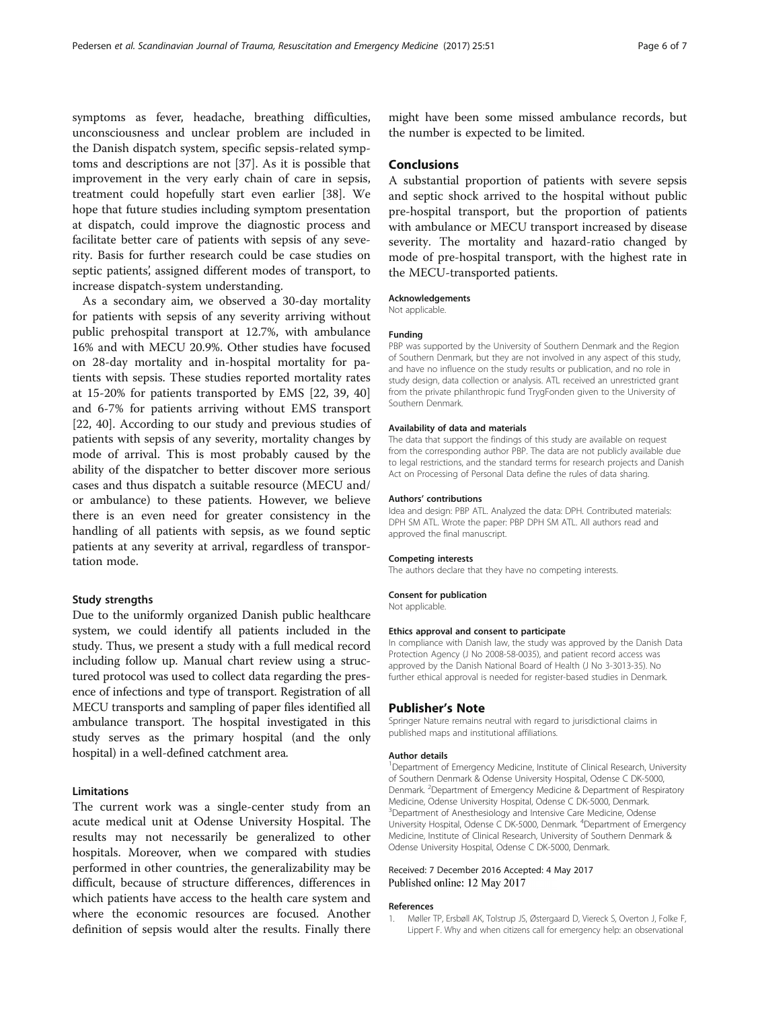<span id="page-5-0"></span>symptoms as fever, headache, breathing difficulties, unconsciousness and unclear problem are included in the Danish dispatch system, specific sepsis-related symptoms and descriptions are not [\[37](#page-6-0)]. As it is possible that improvement in the very early chain of care in sepsis, treatment could hopefully start even earlier [[38](#page-6-0)]. We hope that future studies including symptom presentation at dispatch, could improve the diagnostic process and facilitate better care of patients with sepsis of any severity. Basis for further research could be case studies on septic patients', assigned different modes of transport, to increase dispatch-system understanding.

As a secondary aim, we observed a 30-day mortality for patients with sepsis of any severity arriving without public prehospital transport at 12.7%, with ambulance 16% and with MECU 20.9%. Other studies have focused on 28-day mortality and in-hospital mortality for patients with sepsis. These studies reported mortality rates at 15-20% for patients transported by EMS [[22, 39](#page-6-0), [40](#page-6-0)] and 6-7% for patients arriving without EMS transport [[22, 40](#page-6-0)]. According to our study and previous studies of patients with sepsis of any severity, mortality changes by mode of arrival. This is most probably caused by the ability of the dispatcher to better discover more serious cases and thus dispatch a suitable resource (MECU and/ or ambulance) to these patients. However, we believe there is an even need for greater consistency in the handling of all patients with sepsis, as we found septic patients at any severity at arrival, regardless of transportation mode.

## Study strengths

Due to the uniformly organized Danish public healthcare system, we could identify all patients included in the study. Thus, we present a study with a full medical record including follow up. Manual chart review using a structured protocol was used to collect data regarding the presence of infections and type of transport. Registration of all MECU transports and sampling of paper files identified all ambulance transport. The hospital investigated in this study serves as the primary hospital (and the only hospital) in a well-defined catchment area.

## Limitations

The current work was a single-center study from an acute medical unit at Odense University Hospital. The results may not necessarily be generalized to other hospitals. Moreover, when we compared with studies performed in other countries, the generalizability may be difficult, because of structure differences, differences in which patients have access to the health care system and where the economic resources are focused. Another definition of sepsis would alter the results. Finally there

might have been some missed ambulance records, but the number is expected to be limited.

## Conclusions

A substantial proportion of patients with severe sepsis and septic shock arrived to the hospital without public pre-hospital transport, but the proportion of patients with ambulance or MECU transport increased by disease severity. The mortality and hazard-ratio changed by mode of pre-hospital transport, with the highest rate in the MECU-transported patients.

### Acknowledgements

Not applicable.

#### Funding

PBP was supported by the University of Southern Denmark and the Region of Southern Denmark, but they are not involved in any aspect of this study, and have no influence on the study results or publication, and no role in study design, data collection or analysis. ATL received an unrestricted grant from the private philanthropic fund TrygFonden given to the University of Southern Denmark.

## Availability of data and materials

The data that support the findings of this study are available on request from the corresponding author PBP. The data are not publicly available due to legal restrictions, and the standard terms for research projects and Danish Act on Processing of Personal Data define the rules of data sharing.

#### Authors' contributions

Idea and design: PBP ATL. Analyzed the data: DPH. Contributed materials: DPH SM ATL. Wrote the paper: PBP DPH SM ATL. All authors read and approved the final manuscript.

#### Competing interests

The authors declare that they have no competing interests.

#### Consent for publication

Not applicable.

### Ethics approval and consent to participate

In compliance with Danish law, the study was approved by the Danish Data Protection Agency (J No 2008-58-0035), and patient record access was approved by the Danish National Board of Health (J No 3-3013-35). No further ethical approval is needed for register-based studies in Denmark.

#### Publisher's Note

Springer Nature remains neutral with regard to jurisdictional claims in published maps and institutional affiliations.

#### Author details

<sup>1</sup>Department of Emergency Medicine, Institute of Clinical Research, University of Southern Denmark & Odense University Hospital, Odense C DK-5000, Denmark. <sup>2</sup>Department of Emergency Medicine & Department of Respiratory Medicine, Odense University Hospital, Odense C DK-5000, Denmark. <sup>3</sup>Department of Anesthesiology and Intensive Care Medicine, Odense University Hospital, Odense C DK-5000, Denmark. <sup>4</sup> Department of Emergency Medicine, Institute of Clinical Research, University of Southern Denmark & Odense University Hospital, Odense C DK-5000, Denmark.

## Received: 7 December 2016 Accepted: 4 May 2017 Published online: 12 May 2017

#### References

1. Møller TP, Ersbøll AK, Tolstrup JS, Østergaard D, Viereck S, Overton J, Folke F, Lippert F. Why and when citizens call for emergency help: an observational